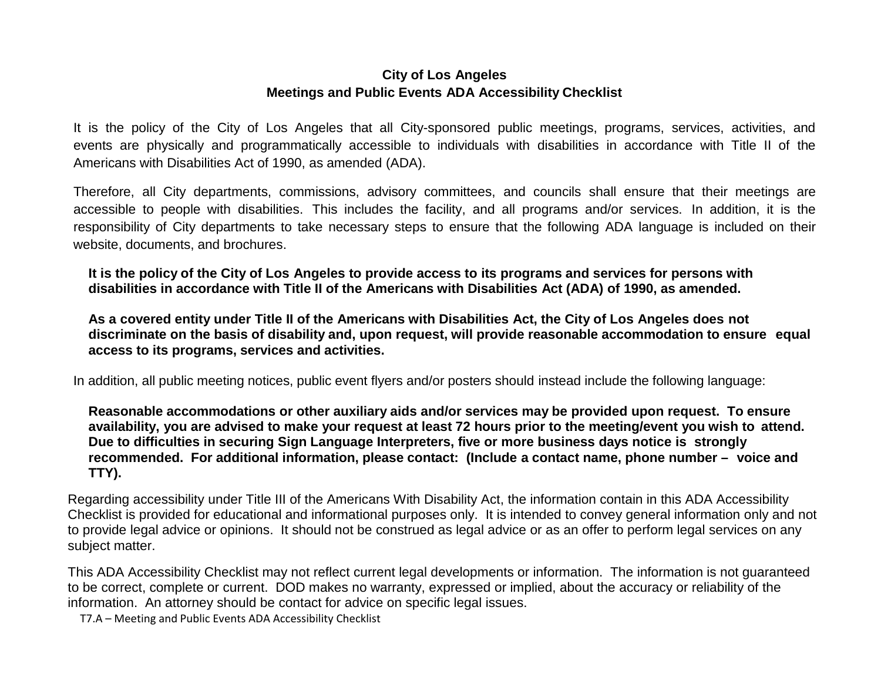## **City of Los Angeles Meetings and Public Events ADA Accessibility Checklist**

It is the policy of the City of Los Angeles that all City-sponsored public meetings, programs, services, activities, and events are physically and programmatically accessible to individuals with disabilities in accordance with Title II of the Americans with Disabilities Act of 1990, as amended (ADA).

Therefore, all City departments, commissions, advisory committees, and councils shall ensure that their meetings are accessible to people with disabilities. This includes the facility, and all programs and/or services. In addition, it is the responsibility of City departments to take necessary steps to ensure that the following ADA language is included on their website, documents, and brochures.

**It is the policy of the City of Los Angeles to provide access to its programs and services for persons with disabilities in accordance with Title II of the Americans with Disabilities Act (ADA) of 1990, as amended.**

As a covered entity under Title II of the Americans with Disabilities Act, the City of Los Angeles does not **discriminate on the basis of disability and, upon request, will provide reasonable accommodation to ensure equal access to its programs, services and activities.**

In addition, all public meeting notices, public event flyers and/or posters should instead include the following language:

**Reasonable accommodations or other auxiliary aids and/or services may be provided upon request. To ensure availability, you are advised to make your request at least 72 hours prior to the meeting/event you wish to attend. Due to difficulties in securing Sign Language Interpreters, five or more business days notice is strongly recommended. For additional information, please contact: (Include a contact name, phone number – voice and TTY).**

Regarding accessibility under Title III of the Americans With Disability Act, the information contain in this ADA Accessibility Checklist is provided for educational and informational purposes only. It is intended to convey general information only and not to provide legal advice or opinions. It should not be construed as legal advice or as an offer to perform legal services on any subject matter.

This ADA Accessibility Checklist may not reflect current legal developments or information. The information is not guaranteed to be correct, complete or current. DOD makes no warranty, expressed or implied, about the accuracy or reliability of the information. An attorney should be contact for advice on specific legal issues.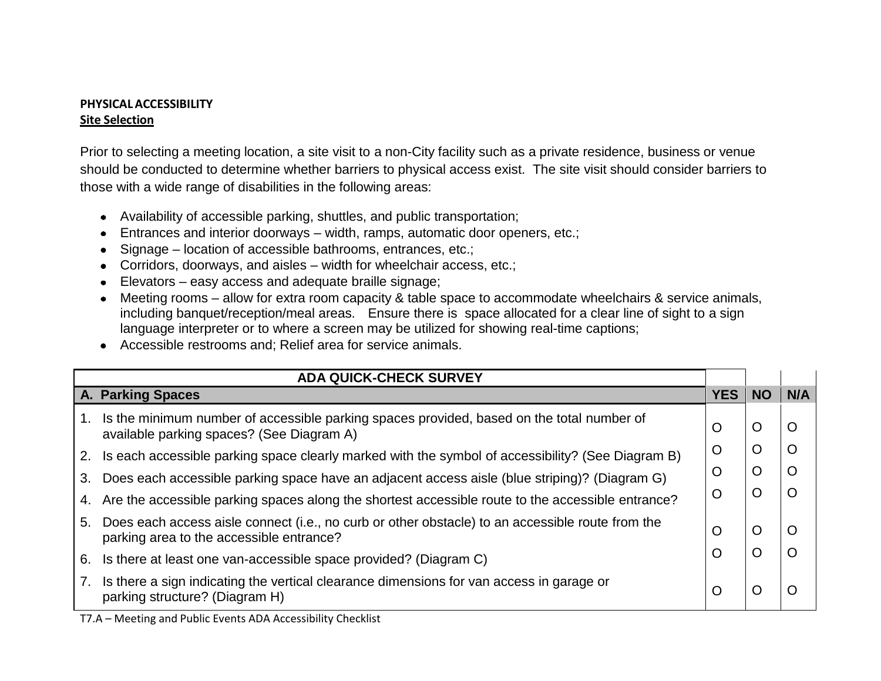#### **PHYSICALACCESSIBILITY Site Selection**

Prior to selecting a meeting location, a site visit to a non-City facility such as a private residence, business or venue should be conducted to determine whether barriers to physical access exist. The site visit should consider barriers to those with a wide range of disabilities in the following areas:

- Availability of accessible parking, shuttles, and public transportation;
- Entrances and interior doorways width, ramps, automatic door openers, etc.;
- Signage location of accessible bathrooms, entrances, etc.;
- Corridors, doorways, and aisles width for wheelchair access, etc.;
- Elevators easy access and adequate braille signage;
- Meeting rooms allow for extra room capacity & table space to accommodate wheelchairs & service animals, including banquet/reception/meal areas. Ensure there is space allocated for a clear line of sight to a sign language interpreter or to where a screen may be utilized for showing real-time captions;
- Accessible restrooms and; Relief area for service animals.

|                   | <b>ADA QUICK-CHECK SURVEY</b>                                                                                                                |   |           |         |
|-------------------|----------------------------------------------------------------------------------------------------------------------------------------------|---|-----------|---------|
| A. Parking Spaces |                                                                                                                                              |   | <b>NO</b> | N/A     |
| 1.                | Is the minimum number of accessible parking spaces provided, based on the total number of<br>available parking spaces? (See Diagram A)       | O | O         | O       |
| 2.                | Is each accessible parking space clearly marked with the symbol of accessibility? (See Diagram B)                                            | O | O         | $\circ$ |
| 3.                | Does each accessible parking space have an adjacent access aisle (blue striping)? (Diagram G)                                                | O | O         | O       |
| 4.                | Are the accessible parking spaces along the shortest accessible route to the accessible entrance?                                            | O | O         | O       |
| 5.                | Does each access aisle connect (i.e., no curb or other obstacle) to an accessible route from the<br>parking area to the accessible entrance? | O | $\circ$   | O       |
| 6.                | Is there at least one van-accessible space provided? (Diagram C)                                                                             | O | O         | O       |
| 7.                | Is there a sign indicating the vertical clearance dimensions for van access in garage or<br>parking structure? (Diagram H)                   | O | O         | O       |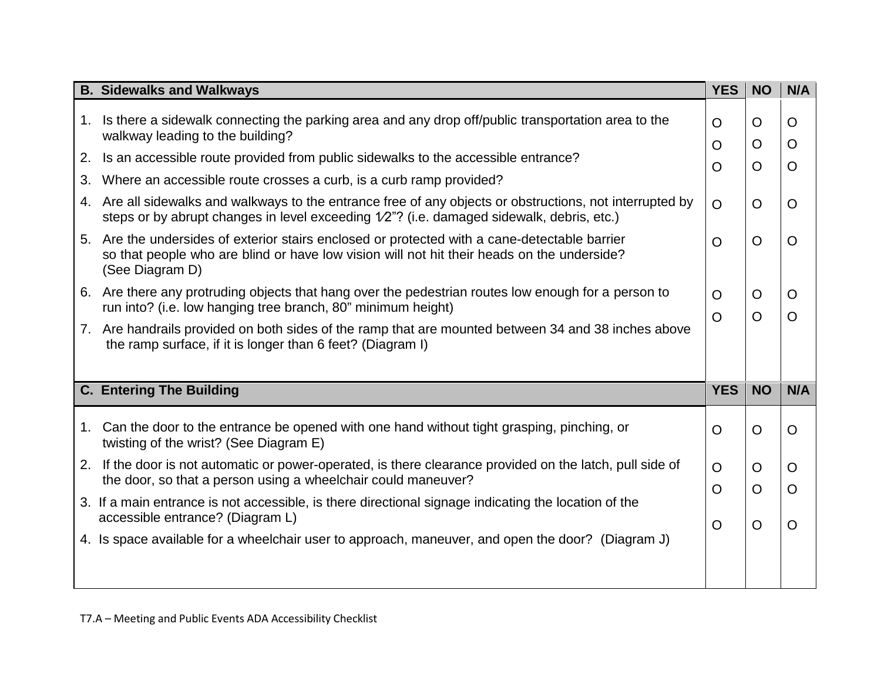|    | <b>B. Sidewalks and Walkways</b>                                                                                                                                                                               |                           |                           |                           |
|----|----------------------------------------------------------------------------------------------------------------------------------------------------------------------------------------------------------------|---------------------------|---------------------------|---------------------------|
|    | 1. Is there a sidewalk connecting the parking area and any drop off/public transportation area to the<br>walkway leading to the building?                                                                      |                           | $\circ$<br>$\circ$        | O<br>$\mathsf{O}$         |
| 2. | Is an accessible route provided from public sidewalks to the accessible entrance?                                                                                                                              | $\circ$<br>$\overline{O}$ | $\overline{O}$            | $\overline{O}$            |
| 3. | Where an accessible route crosses a curb, is a curb ramp provided?                                                                                                                                             |                           |                           |                           |
|    | 4. Are all sidewalks and walkways to the entrance free of any objects or obstructions, not interrupted by<br>steps or by abrupt changes in level exceeding 1/2"? (i.e. damaged sidewalk, debris, etc.)         |                           | $\overline{O}$            | $\overline{O}$            |
|    | 5. Are the undersides of exterior stairs enclosed or protected with a cane-detectable barrier<br>so that people who are blind or have low vision will not hit their heads on the underside?<br>(See Diagram D) |                           | $\overline{O}$            | $\overline{O}$            |
|    | 6. Are there any protruding objects that hang over the pedestrian routes low enough for a person to<br>run into? (i.e. low hanging tree branch, 80" minimum height)                                            |                           | $\circ$<br>$\overline{O}$ | $\circ$<br>$\overline{O}$ |
|    | 7. Are handrails provided on both sides of the ramp that are mounted between 34 and 38 inches above<br>the ramp surface, if it is longer than 6 feet? (Diagram I)                                              |                           |                           |                           |
|    | <b>C. Entering The Building</b>                                                                                                                                                                                | <b>YES</b>                | <b>NO</b>                 | N/A                       |
|    | 1. Can the door to the entrance be opened with one hand without tight grasping, pinching, or<br>twisting of the wrist? (See Diagram E)                                                                         | $\circ$                   | $\Omega$                  | $\circ$                   |
|    | 2. If the door is not automatic or power-operated, is there clearance provided on the latch, pull side of<br>the door, so that a person using a wheelchair could maneuver?                                     |                           | $\circ$<br>$\overline{O}$ | $\circ$<br>$\mathsf{O}$   |
|    | 3. If a main entrance is not accessible, is there directional signage indicating the location of the<br>accessible entrance? (Diagram L)                                                                       |                           | $\overline{O}$            |                           |
|    | 4. Is space available for a wheelchair user to approach, maneuver, and open the door? (Diagram J)                                                                                                              | $\circ$                   |                           | $\overline{O}$            |
|    |                                                                                                                                                                                                                |                           |                           |                           |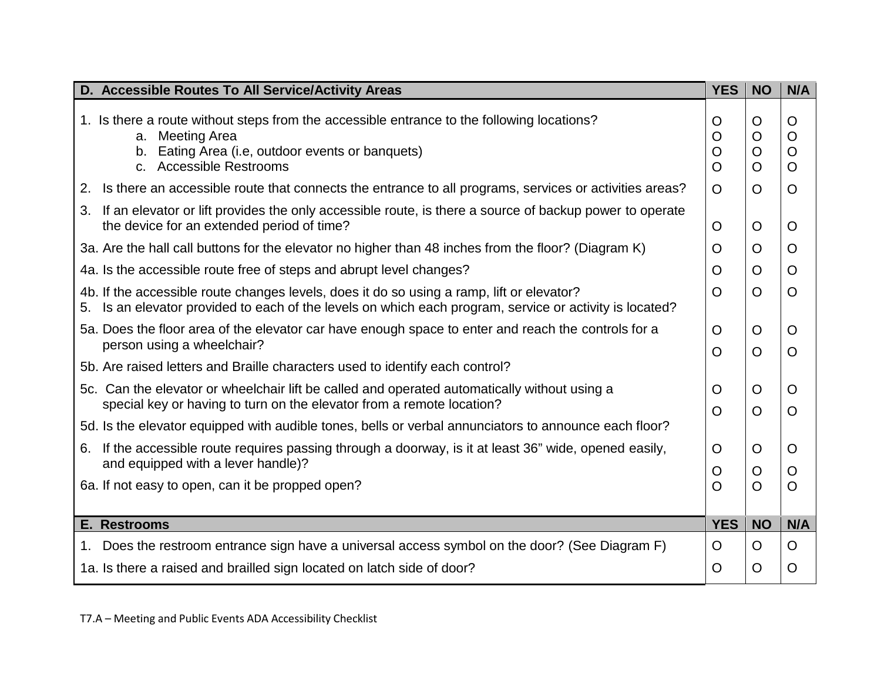| D. Accessible Routes To All Service/Activity Areas                                                                                                                                                        |                         |                         | N/A                                            |
|-----------------------------------------------------------------------------------------------------------------------------------------------------------------------------------------------------------|-------------------------|-------------------------|------------------------------------------------|
| 1. Is there a route without steps from the accessible entrance to the following locations?<br><b>Meeting Area</b><br>a.<br>Eating Area (i.e, outdoor events or banquets)<br>b.<br>c. Accessible Restrooms | O<br>O<br>O<br>$\Omega$ | O<br>O<br>O<br>$\Omega$ | O<br>$\circ$<br>$\mathsf{O}$<br>$\overline{O}$ |
| Is there an accessible route that connects the entrance to all programs, services or activities areas?<br>2.                                                                                              | O                       | O                       | $\mathsf{O}$                                   |
| 3. If an elevator or lift provides the only accessible route, is there a source of backup power to operate<br>the device for an extended period of time?                                                  | O                       | O                       | O                                              |
| 3a. Are the hall call buttons for the elevator no higher than 48 inches from the floor? (Diagram K)                                                                                                       | O                       | $\Omega$                | $\overline{O}$                                 |
| 4a. Is the accessible route free of steps and abrupt level changes?                                                                                                                                       | O                       | O                       | $\overline{O}$                                 |
| 4b. If the accessible route changes levels, does it do so using a ramp, lift or elevator?<br>Is an elevator provided to each of the levels on which each program, service or activity is located?<br>5.   | O                       | $\overline{O}$          | $\circ$                                        |
| 5a. Does the floor area of the elevator car have enough space to enter and reach the controls for a<br>person using a wheelchair?                                                                         | O<br>$\Omega$           | O<br>$\overline{O}$     | O<br>$\overline{O}$                            |
| 5b. Are raised letters and Braille characters used to identify each control?                                                                                                                              |                         |                         |                                                |
| 5c. Can the elevator or wheelchair lift be called and operated automatically without using a<br>special key or having to turn on the elevator from a remote location?                                     | O<br>O                  | O<br>$\Omega$           | $\circ$<br>$\overline{O}$                      |
| 5d. Is the elevator equipped with audible tones, bells or verbal annunciators to announce each floor?                                                                                                     |                         |                         |                                                |
| 6. If the accessible route requires passing through a doorway, is it at least 36" wide, opened easily,<br>and equipped with a lever handle)?                                                              | O<br>O                  | O<br>O                  | O<br>$\circ$                                   |
| 6a. If not easy to open, can it be propped open?                                                                                                                                                          | $\Omega$                | $\overline{O}$          | $\overline{O}$                                 |
|                                                                                                                                                                                                           |                         |                         |                                                |
| E. Restrooms                                                                                                                                                                                              | <b>YES</b>              | <b>NO</b>               | N/A                                            |
| 1. Does the restroom entrance sign have a universal access symbol on the door? (See Diagram F)                                                                                                            | O                       | O                       | O                                              |
| 1a. Is there a raised and brailled sign located on latch side of door?                                                                                                                                    | $\Omega$                | $\Omega$                | $\overline{O}$                                 |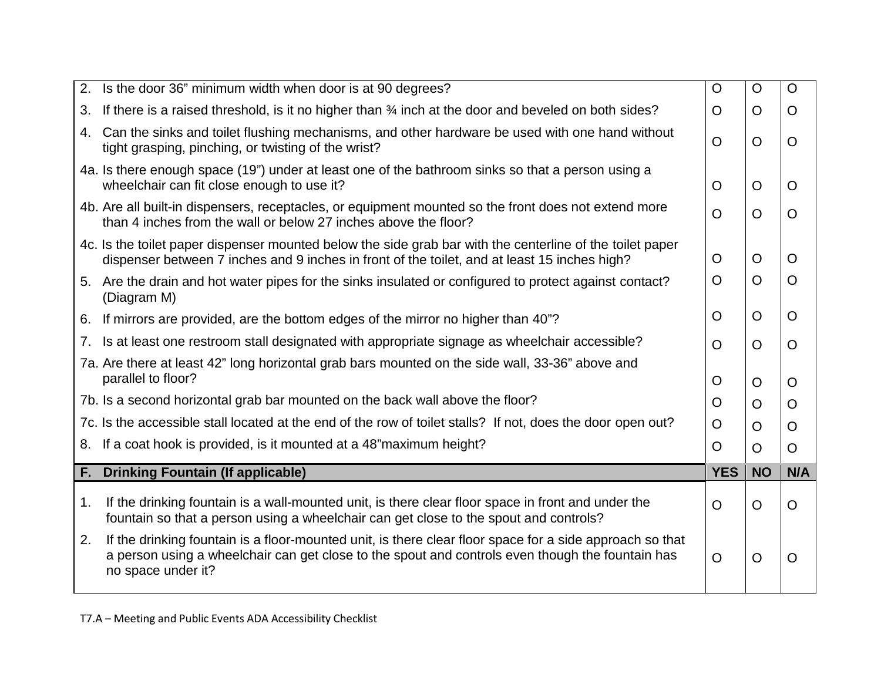| 2.                                                                                                          | Is the door 36" minimum width when door is at 90 degrees?                                                                                                                                                                          |                |           | $\mathsf{O}$   |
|-------------------------------------------------------------------------------------------------------------|------------------------------------------------------------------------------------------------------------------------------------------------------------------------------------------------------------------------------------|----------------|-----------|----------------|
| 3.                                                                                                          | If there is a raised threshold, is it no higher than 34 inch at the door and beveled on both sides?                                                                                                                                |                | $\Omega$  | $\overline{O}$ |
| 4.                                                                                                          | Can the sinks and toilet flushing mechanisms, and other hardware be used with one hand without<br>tight grasping, pinching, or twisting of the wrist?                                                                              |                | $\Omega$  | $\Omega$       |
|                                                                                                             | 4a. Is there enough space (19") under at least one of the bathroom sinks so that a person using a<br>wheelchair can fit close enough to use it?                                                                                    | O              | $\circ$   | O              |
|                                                                                                             | 4b. Are all built-in dispensers, receptacles, or equipment mounted so the front does not extend more<br>than 4 inches from the wall or below 27 inches above the floor?                                                            |                | $\circ$   | $\overline{O}$ |
|                                                                                                             | 4c. Is the toilet paper dispenser mounted below the side grab bar with the centerline of the toilet paper<br>dispenser between 7 inches and 9 inches in front of the toilet, and at least 15 inches high?                          | O              | $\circ$   | $\overline{O}$ |
|                                                                                                             | 5. Are the drain and hot water pipes for the sinks insulated or configured to protect against contact?<br>(Diagram M)                                                                                                              |                | $\Omega$  | $\overline{O}$ |
| 6.                                                                                                          | If mirrors are provided, are the bottom edges of the mirror no higher than 40"?                                                                                                                                                    | O              | $\circ$   | O              |
| 7.                                                                                                          | Is at least one restroom stall designated with appropriate signage as wheelchair accessible?                                                                                                                                       | $\Omega$       | $\Omega$  | $\Omega$       |
|                                                                                                             | 7a. Are there at least 42" long horizontal grab bars mounted on the side wall, 33-36" above and<br>parallel to floor?                                                                                                              |                | $\circ$   | $\Omega$       |
|                                                                                                             | 7b. Is a second horizontal grab bar mounted on the back wall above the floor?                                                                                                                                                      |                | $\Omega$  | $\overline{O}$ |
| 7c. Is the accessible stall located at the end of the row of toilet stalls? If not, does the door open out? |                                                                                                                                                                                                                                    | $\Omega$       | $\Omega$  | O              |
| 8.                                                                                                          | If a coat hook is provided, is it mounted at a 48" maximum height?                                                                                                                                                                 | O              | O         | $\overline{O}$ |
| F.                                                                                                          | <b>Drinking Fountain (If applicable)</b>                                                                                                                                                                                           | <b>YES</b>     | <b>NO</b> | N/A            |
| 1.                                                                                                          | If the drinking fountain is a wall-mounted unit, is there clear floor space in front and under the<br>fountain so that a person using a wheelchair can get close to the spout and controls?                                        | $\overline{O}$ | $\circ$   | O              |
| 2.                                                                                                          | If the drinking fountain is a floor-mounted unit, is there clear floor space for a side approach so that<br>a person using a wheelchair can get close to the spout and controls even though the fountain has<br>no space under it? | $\Omega$       | $\circ$   | $\overline{O}$ |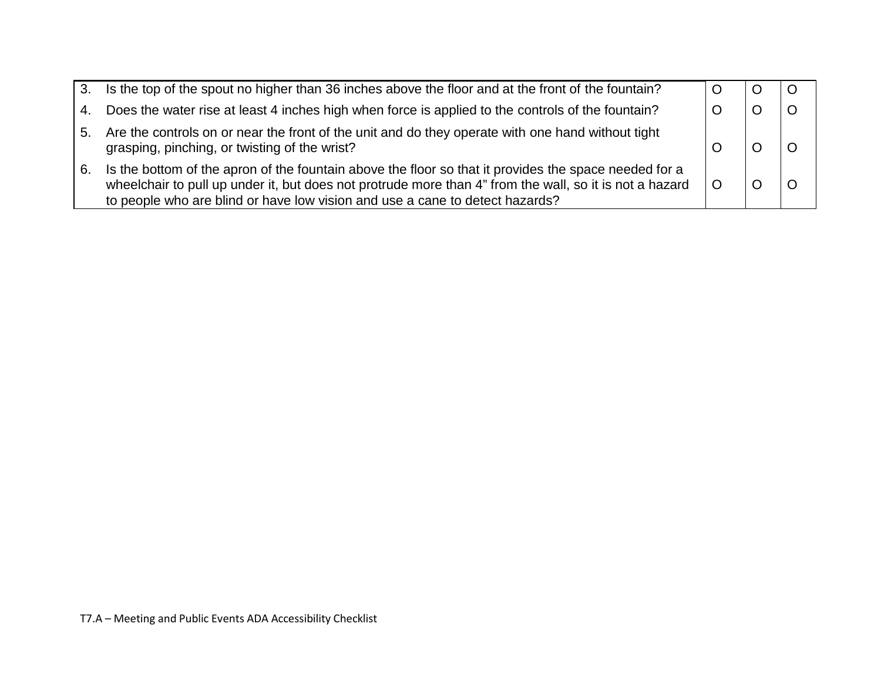|    | 3. Is the top of the spout no higher than 36 inches above the floor and at the front of the fountain?                                                                                                                                                                                            |  |  |
|----|--------------------------------------------------------------------------------------------------------------------------------------------------------------------------------------------------------------------------------------------------------------------------------------------------|--|--|
| 4. | Does the water rise at least 4 inches high when force is applied to the controls of the fountain?                                                                                                                                                                                                |  |  |
| 5. | Are the controls on or near the front of the unit and do they operate with one hand without tight<br>grasping, pinching, or twisting of the wrist?                                                                                                                                               |  |  |
| 6. | Is the bottom of the apron of the fountain above the floor so that it provides the space needed for a<br>wheelchair to pull up under it, but does not protrude more than 4" from the wall, so it is not a hazard<br>to people who are blind or have low vision and use a cane to detect hazards? |  |  |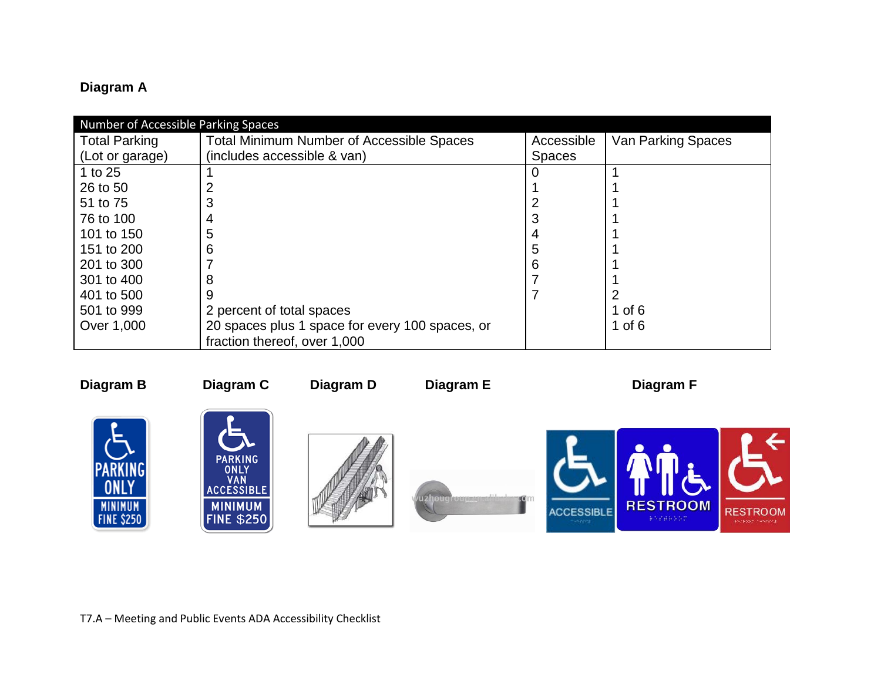# **Diagram A**

| Number of Accessible Parking Spaces |                                                  |               |                    |  |  |
|-------------------------------------|--------------------------------------------------|---------------|--------------------|--|--|
| <b>Total Parking</b>                | <b>Total Minimum Number of Accessible Spaces</b> | Accessible    | Van Parking Spaces |  |  |
| (Lot or garage)                     | (includes accessible & van)                      | <b>Spaces</b> |                    |  |  |
| 1 to 25                             |                                                  |               |                    |  |  |
| 26 to 50                            |                                                  |               |                    |  |  |
| 51 to 75                            |                                                  |               |                    |  |  |
| 76 to 100                           | 4                                                |               |                    |  |  |
| 101 to 150                          | 5                                                |               |                    |  |  |
| 151 to 200                          | 6                                                |               |                    |  |  |
| 201 to 300                          |                                                  | 6             |                    |  |  |
| 301 to 400                          | 8                                                |               |                    |  |  |
| 401 to 500                          | 9                                                |               |                    |  |  |
| 501 to 999                          | 2 percent of total spaces                        |               | 1 of $6$           |  |  |
| Over 1,000                          | 20 spaces plus 1 space for every 100 spaces, or  |               | 1 of $6$           |  |  |
|                                     | fraction thereof, over 1,000                     |               |                    |  |  |



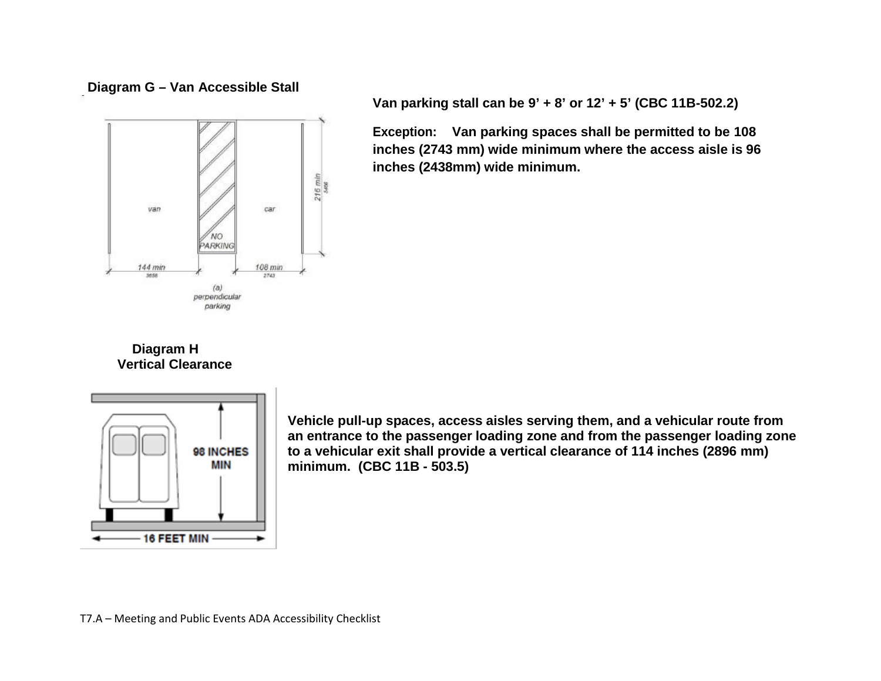



**Van parking stall can be 9' + 8' or 12' + 5' (CBC 11B-502.2)**

**Exception: Van parking spaces shall be permitted to be 108 inches (2743 mm) wide minimum where the access aisle is 96 inches (2438mm) wide minimum.**

## **Diagram H Vertical Clearance**



**Vehicle pull-up spaces, access aisles serving them, and a vehicular route from an entrance to the passenger loading zone and from the passenger loading zone to a vehicular exit shall provide a vertical clearance of 114 inches (2896 mm) minimum. (CBC 11B - 503.5)**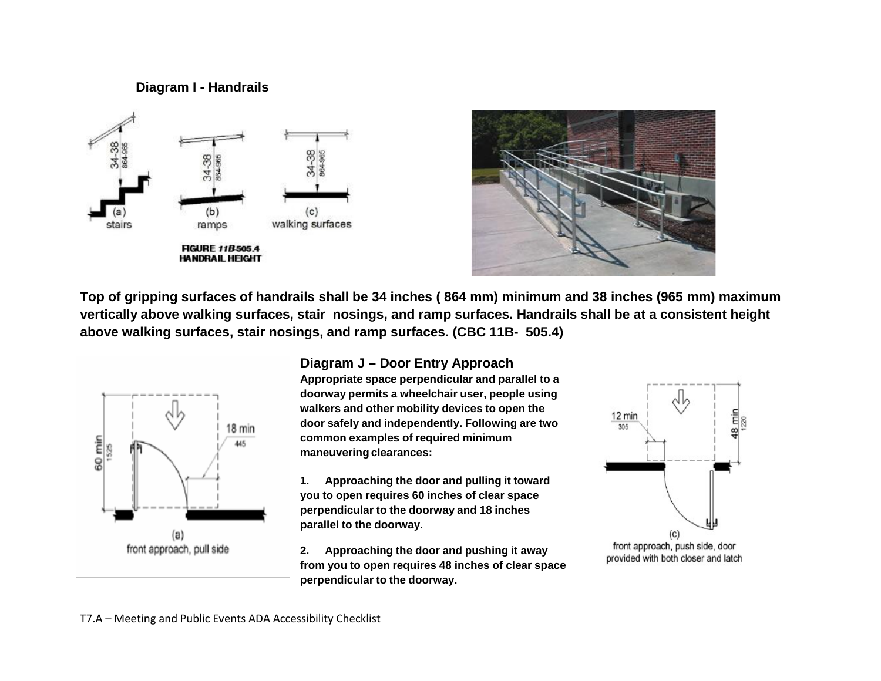## **Diagram I - Handrails**





**Top of gripping surfaces of handrails shall be 34 inches ( 864 mm) minimum and 38 inches (965 mm) maximum vertically above walking surfaces, stair nosings, and ramp surfaces. Handrails shall be at a consistent height above walking surfaces, stair nosings, and ramp surfaces. (CBC 11B- 505.4)**



#### **Diagram J – Door Entry Approach**

**Appropriate space perpendicular and parallel to a doorway permits a wheelchair user, people using walkers and other mobility devices to open the door safely and independently. Following are two common examples of required minimum maneuvering clearances:**

**1. Approaching the door and pulling it toward you to open requires 60 inches of clear space perpendicular to the doorway and 18 inches parallel to the doorway.**

**2. Approaching the door and pushing it away from you to open requires 48 inches of clear space perpendicular to the doorway.**



front approach, push side, door provided with both closer and latch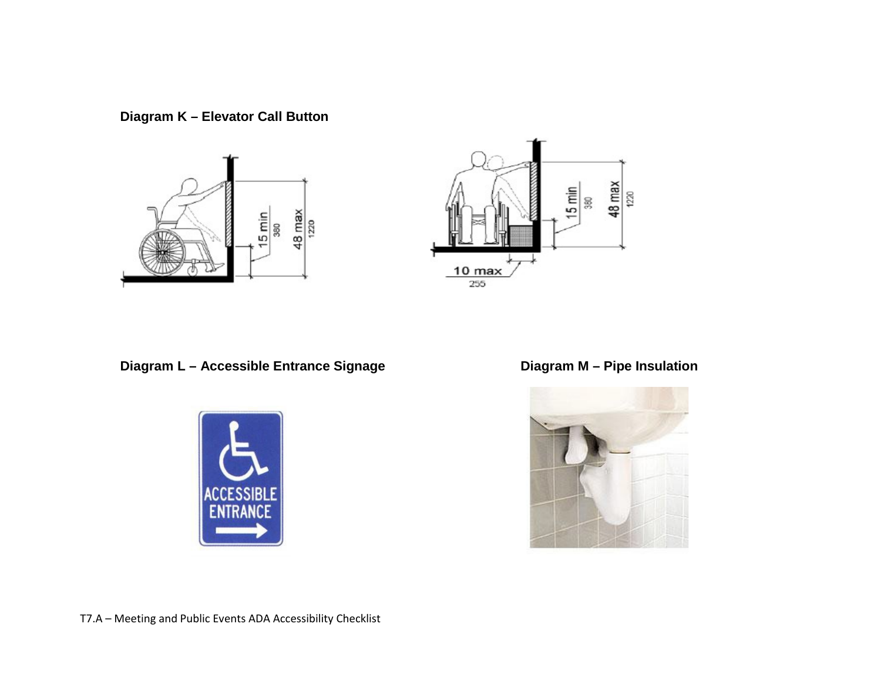**Diagram K – Elevator Call Button**





**Diagram L – Accessible Entrance Signage Diagram M – Pipe Insulation**



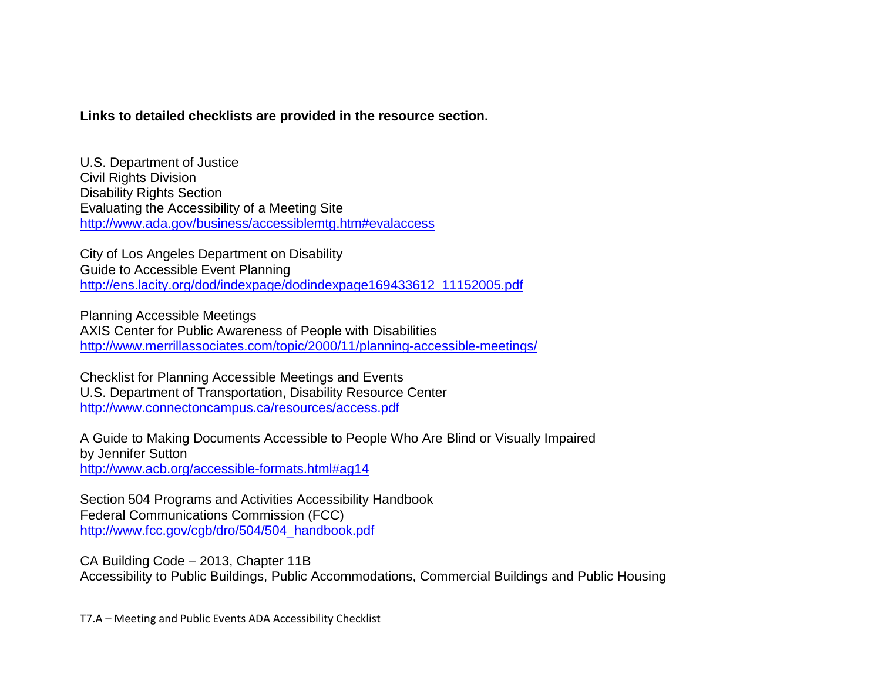#### **Links to detailed checklists are provided in the resource section.**

U.S. Department of Justice Civil Rights Division Disability Rights Section Evaluating the Accessibility of a Meeting Site <http://www.ada.gov/business/accessiblemtg.htm#evalaccess>

City of Los Angeles Department on Disability Guide to Accessible Event Planning [http://ens.lacity.org/dod/indexpage/dodindexpage169433612\\_11152005.pdf](http://ens.lacity.org/dod/indexpage/dodindexpage169433612_11152005.pdf)

Planning Accessible Meetings AXIS Center for Public Awareness of People with Disabilities <http://www.merrillassociates.com/topic/2000/11/planning-accessible-meetings/>

Checklist for Planning Accessible Meetings and Events U.S. Department of Transportation, Disability Resource Center <http://www.connectoncampus.ca/resources/access.pdf>

A Guide to Making Documents Accessible to People Who Are Blind or Visually Impaired by Jennifer Sutton <http://www.acb.org/accessible-formats.html#ag14>

Section 504 Programs and Activities Accessibility Handbook Federal Communications Commission (FCC) [http://www.fcc.gov/cgb/dro/504/504\\_handbook.pdf](http://www.fcc.gov/cgb/dro/504/504_handbook.pdf)

CA Building Code – 2013, Chapter 11B Accessibility to Public Buildings, Public Accommodations, Commercial Buildings and Public Housing